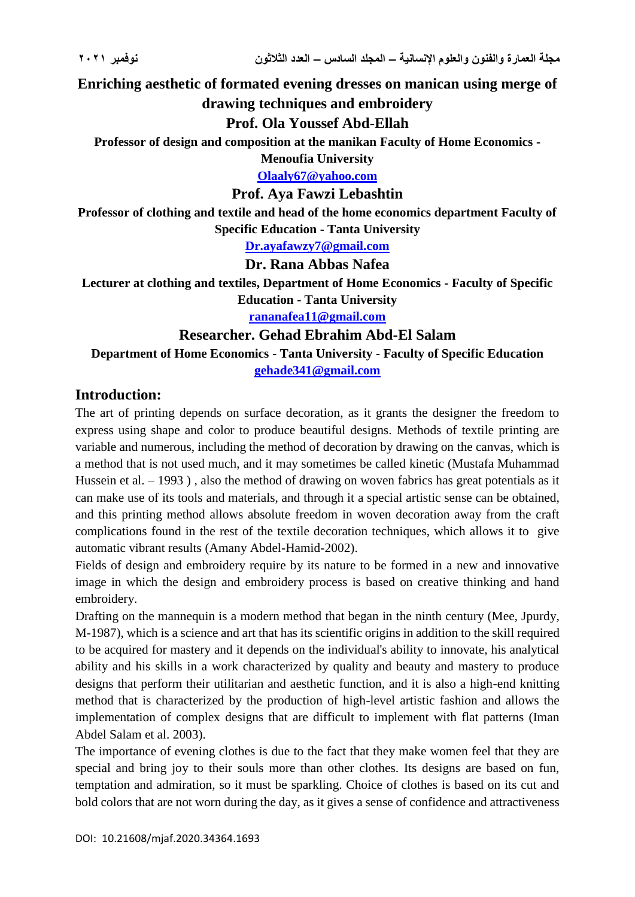**Enriching aesthetic of formated evening dresses on manican using merge of** 

# **drawing techniques and embroidery**

**Prof. Ola Youssef Abd-Ellah**

**Professor of design and composition at the manikan Faculty of Home Economics -**

**Menoufia University**

**[Olaaly67@yahoo.com](mailto:Olaaly67@yahoo.com)**

#### **Prof. Aya Fawzi Lebashtin**

**Professor of clothing and textile and head of the home economics department Faculty of Specific Education - Tanta University**

**[Dr.ayafawzy7@gmail.com](mailto:Dr.ayafawzy7@gmail.com)**

#### **Dr. Rana Abbas Nafea**

**Lecturer at clothing and textiles, Department of Home Economics - Faculty of Specific Education - Tanta University**

**[rananafea11@gmail.com](mailto:rananafea11@gmail.com)**

#### **Researcher. Gehad Ebrahim Abd-El Salam**

**Department of Home Economics - Tanta University - Faculty of Specific Education [gehade341@gmail.com](mailto:gehade341@gmail.com)**

### **Introduction:**

The art of printing depends on surface decoration, as it grants the designer the freedom to express using shape and color to produce beautiful designs. Methods of textile printing are variable and numerous, including the method of decoration by drawing on the canvas, which is a method that is not used much, and it may sometimes be called kinetic (Mustafa Muhammad Hussein et al. – 1993), also the method of drawing on woven fabrics has great potentials as it can make use of its tools and materials, and through it a special artistic sense can be obtained, and this printing method allows absolute freedom in woven decoration away from the craft complications found in the rest of the textile decoration techniques, which allows it to give automatic vibrant results (Amany Abdel-Hamid-2002).

Fields of design and embroidery require by its nature to be formed in a new and innovative image in which the design and embroidery process is based on creative thinking and hand embroidery.

Drafting on the mannequin is a modern method that began in the ninth century (Mee, Jpurdy, M-1987), which is a science and art that has its scientific origins in addition to the skill required to be acquired for mastery and it depends on the individual's ability to innovate, his analytical ability and his skills in a work characterized by quality and beauty and mastery to produce designs that perform their utilitarian and aesthetic function, and it is also a high-end knitting method that is characterized by the production of high-level artistic fashion and allows the implementation of complex designs that are difficult to implement with flat patterns (Iman Abdel Salam et al. 2003).

The importance of evening clothes is due to the fact that they make women feel that they are special and bring joy to their souls more than other clothes. Its designs are based on fun, temptation and admiration, so it must be sparkling. Choice of clothes is based on its cut and bold colors that are not worn during the day, as it gives a sense of confidence and attractiveness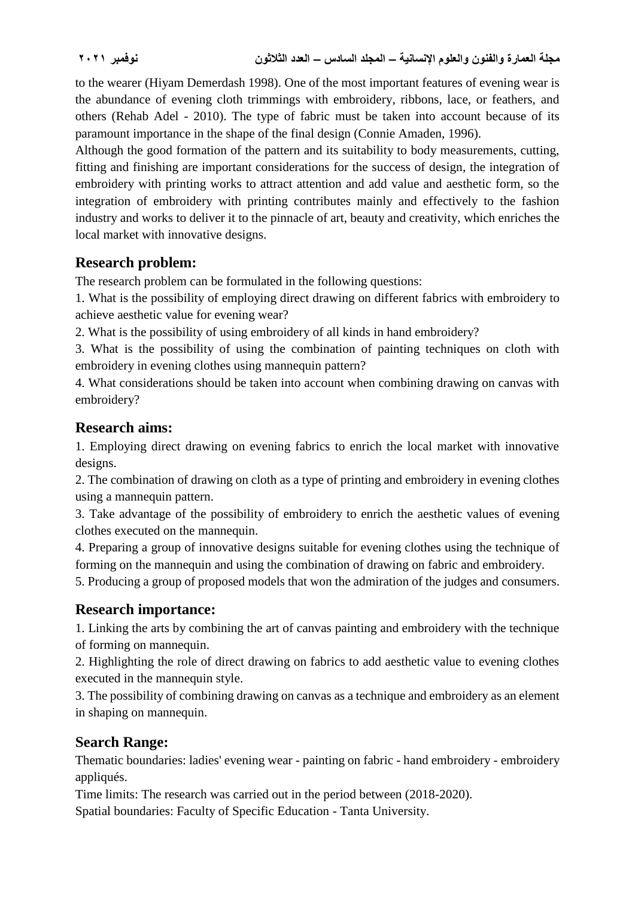to the wearer (Hiyam Demerdash 1998). One of the most important features of evening wear is the abundance of evening cloth trimmings with embroidery, ribbons, lace, or feathers, and others (Rehab Adel - 2010). The type of fabric must be taken into account because of its paramount importance in the shape of the final design (Connie Amaden, 1996).

Although the good formation of the pattern and its suitability to body measurements, cutting, fitting and finishing are important considerations for the success of design, the integration of embroidery with printing works to attract attention and add value and aesthetic form, so the integration of embroidery with printing contributes mainly and effectively to the fashion industry and works to deliver it to the pinnacle of art, beauty and creativity, which enriches the local market with innovative designs.

# **Research problem:**

The research problem can be formulated in the following questions:

1. What is the possibility of employing direct drawing on different fabrics with embroidery to achieve aesthetic value for evening wear?

2. What is the possibility of using embroidery of all kinds in hand embroidery?

3. What is the possibility of using the combination of painting techniques on cloth with embroidery in evening clothes using mannequin pattern?

4. What considerations should be taken into account when combining drawing on canvas with embroidery?

# **Research aims:**

1. Employing direct drawing on evening fabrics to enrich the local market with innovative designs.

2. The combination of drawing on cloth as a type of printing and embroidery in evening clothes using a mannequin pattern.

3. Take advantage of the possibility of embroidery to enrich the aesthetic values of evening clothes executed on the mannequin.

4. Preparing a group of innovative designs suitable for evening clothes using the technique of forming on the mannequin and using the combination of drawing on fabric and embroidery.

5. Producing a group of proposed models that won the admiration of the judges and consumers.

# **Research importance:**

1. Linking the arts by combining the art of canvas painting and embroidery with the technique of forming on mannequin.

2. Highlighting the role of direct drawing on fabrics to add aesthetic value to evening clothes executed in the mannequin style.

3. The possibility of combining drawing on canvas as a technique and embroidery as an element in shaping on mannequin.

# **Search Range:**

Thematic boundaries: ladies' evening wear - painting on fabric - hand embroidery - embroidery appliqués.

Time limits: The research was carried out in the period between (2018-2020).

Spatial boundaries: Faculty of Specific Education - Tanta University.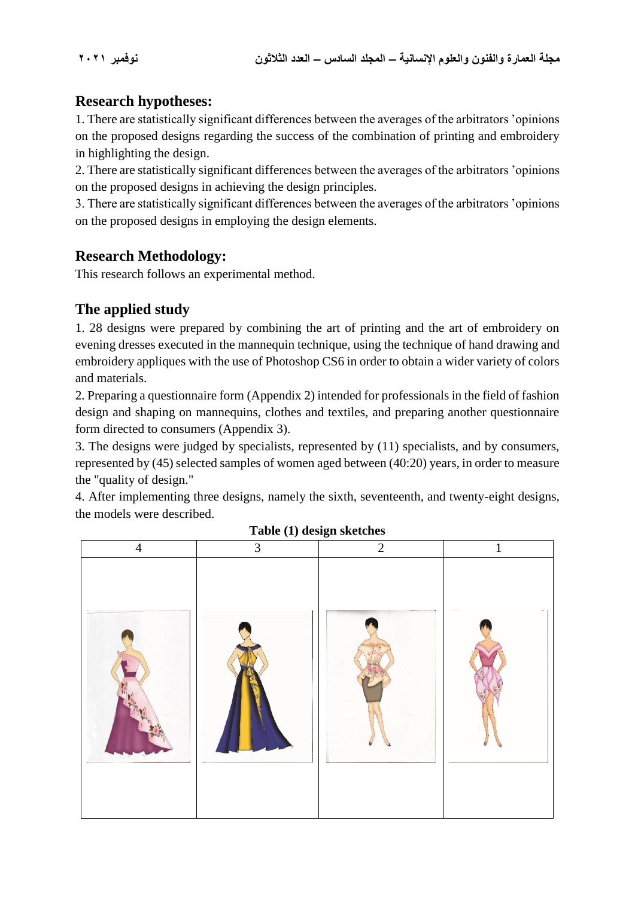# **Research hypotheses:**

1. There are statistically significant differences between the averages of the arbitrators 'opinions on the proposed designs regarding the success of the combination of printing and embroidery in highlighting the design.

2. There are statistically significant differences between the averages of the arbitrators 'opinions on the proposed designs in achieving the design principles.

3. There are statistically significant differences between the averages of the arbitrators 'opinions on the proposed designs in employing the design elements.

# **Research Methodology:**

This research follows an experimental method.

# **The applied study**

1. 28 designs were prepared by combining the art of printing and the art of embroidery on evening dresses executed in the mannequin technique, using the technique of hand drawing and embroidery appliques with the use of Photoshop CS6 in order to obtain a wider variety of colors and materials.

2. Preparing a questionnaire form (Appendix 2) intended for professionals in the field of fashion design and shaping on mannequins, clothes and textiles, and preparing another questionnaire form directed to consumers (Appendix 3).

3. The designs were judged by specialists, represented by (11) specialists, and by consumers, represented by (45) selected samples of women aged between (40:20) years, in order to measure the "quality of design."

4. After implementing three designs, namely the sixth, seventeenth, and twenty-eight designs, the models were described.



**Table (1) design sketches**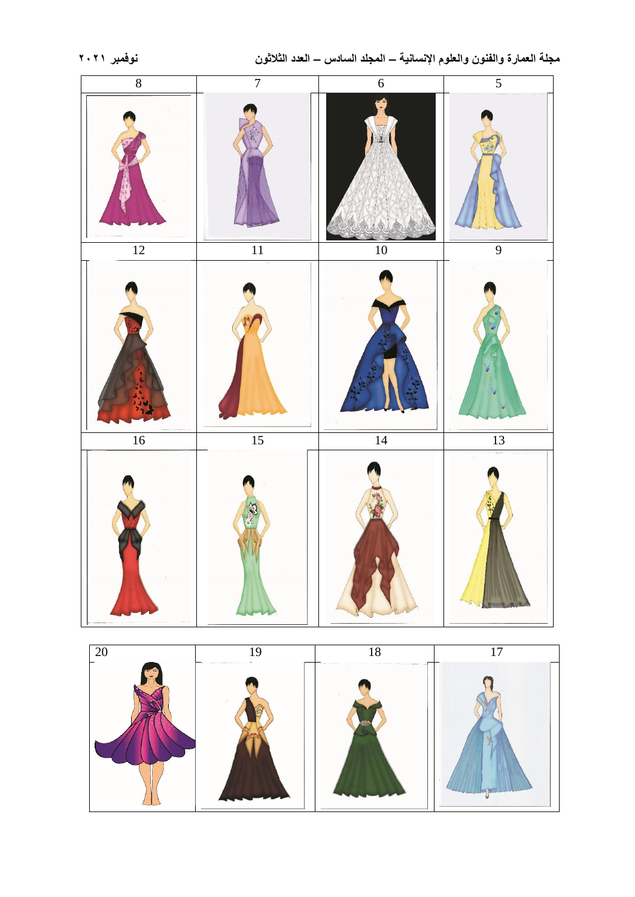

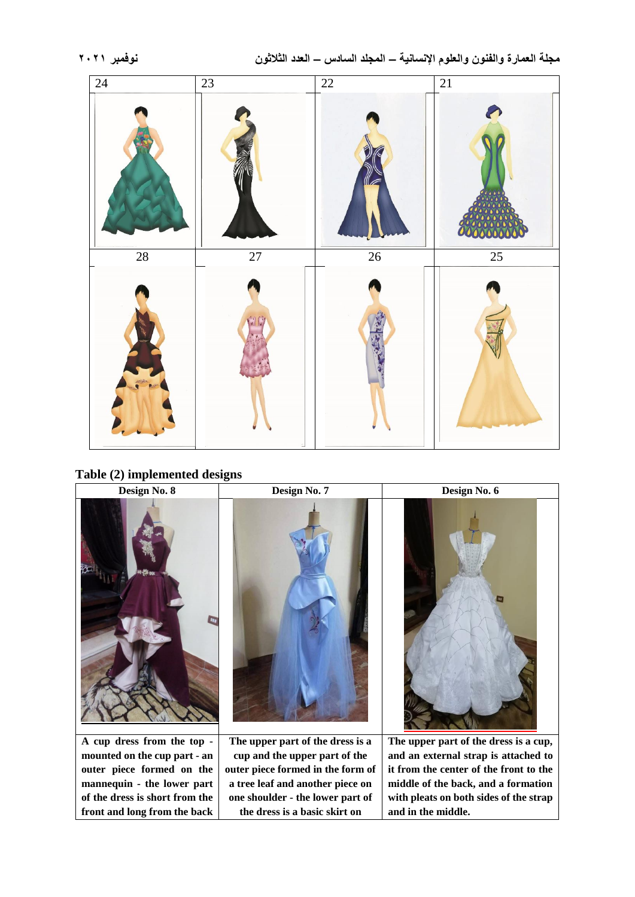

**Table (2) implemented designs**

**mannequin - the lower part of the dress is short from the front and long from the back** 



**outer piece formed in the form of a tree leaf and another piece on one shoulder - the lower part of the dress is a basic skirt on** 

**middle of the back, and a formation with pleats on both sides of the strap** 

**and in the middle.**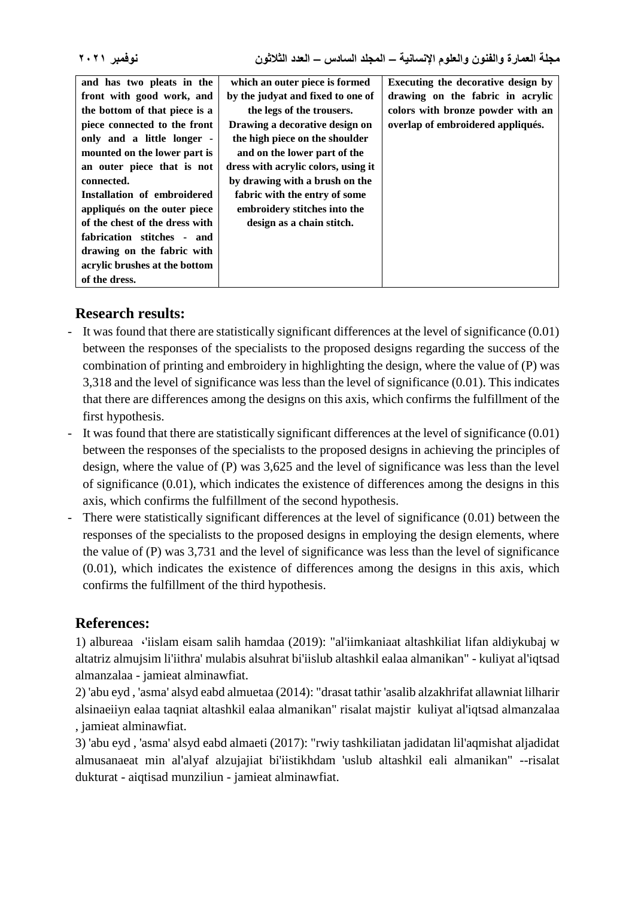| and has two pleats in the      | which an outer piece is formed      | Executing the decorative design by |
|--------------------------------|-------------------------------------|------------------------------------|
| front with good work, and      | by the judyat and fixed to one of   | drawing on the fabric in acrylic   |
| the bottom of that piece is a  | the legs of the trousers.           | colors with bronze powder with an  |
| piece connected to the front   | Drawing a decorative design on      | overlap of embroidered appliqués.  |
| only and a little longer -     | the high piece on the shoulder      |                                    |
| mounted on the lower part is   | and on the lower part of the        |                                    |
| an outer piece that is not     | dress with acrylic colors, using it |                                    |
| connected.                     | by drawing with a brush on the      |                                    |
| Installation of embroidered    | fabric with the entry of some       |                                    |
| appliqués on the outer piece   | embroidery stitches into the        |                                    |
| of the chest of the dress with | design as a chain stitch.           |                                    |
| fabrication stitches - and     |                                     |                                    |
| drawing on the fabric with     |                                     |                                    |
| acrylic brushes at the bottom  |                                     |                                    |
| of the dress.                  |                                     |                                    |

# **Research results:**

- It was found that there are statistically significant differences at the level of significance (0.01) between the responses of the specialists to the proposed designs regarding the success of the combination of printing and embroidery in highlighting the design, where the value of (P) was 3,318 and the level of significance was less than the level of significance (0.01). This indicates that there are differences among the designs on this axis, which confirms the fulfillment of the first hypothesis.
- It was found that there are statistically significant differences at the level of significance (0.01) between the responses of the specialists to the proposed designs in achieving the principles of design, where the value of (P) was 3,625 and the level of significance was less than the level of significance (0.01), which indicates the existence of differences among the designs in this axis, which confirms the fulfillment of the second hypothesis.
- There were statistically significant differences at the level of significance (0.01) between the responses of the specialists to the proposed designs in employing the design elements, where the value of (P) was 3,731 and the level of significance was less than the level of significance (0.01), which indicates the existence of differences among the designs in this axis, which confirms the fulfillment of the third hypothesis.

# **References:**

1) albureaa ،'iislam eisam salih hamdaa (2019): "al'iimkaniaat altashkiliat lifan aldiykubaj w altatriz almujsim li'iithra' mulabis alsuhrat bi'iislub altashkil ealaa almanikan" - kuliyat al'iqtsad almanzalaa - jamieat alminawfiat.

2) 'abu eyd , 'asma' alsyd eabd almuetaa (2014): "drasat tathir 'asalib alzakhrifat allawniat lilharir alsinaeiiyn ealaa taqniat altashkil ealaa almanikan" risalat majstir kuliyat al'iqtsad almanzalaa , jamieat alminawfiat.

3) 'abu eyd , 'asma' alsyd eabd almaeti (2017): "rwiy tashkiliatan jadidatan lil'aqmishat aljadidat almusanaeat min al'alyaf alzujajiat bi'iistikhdam 'uslub altashkil eali almanikan" --risalat dukturat - aiqtisad munziliun - jamieat alminawfiat.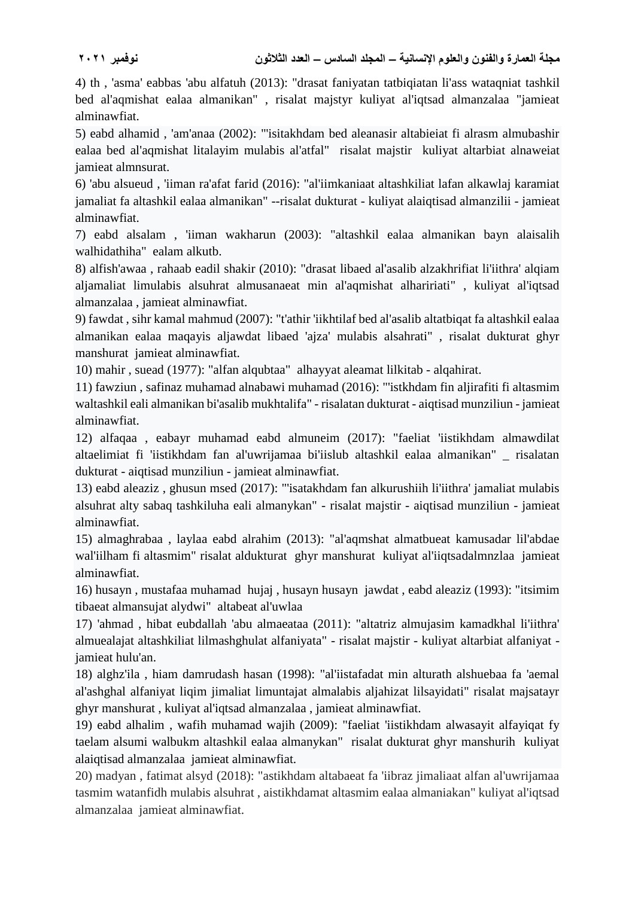4) th , 'asma' eabbas 'abu alfatuh (2013): "drasat faniyatan tatbiqiatan li'ass wataqniat tashkil bed al'aqmishat ealaa almanikan" , risalat majstyr kuliyat al'iqtsad almanzalaa "jamieat alminawfiat.

5) eabd alhamid , 'am'anaa (2002): "'isitakhdam bed aleanasir altabieiat fi alrasm almubashir ealaa bed al'aqmishat litalayim mulabis al'atfal" risalat majstir kuliyat altarbiat alnaweiat jamieat almnsurat.

6) 'abu alsueud , 'iiman ra'afat farid (2016): "al'iimkaniaat altashkiliat lafan alkawlaj karamiat jamaliat fa altashkil ealaa almanikan" --risalat dukturat - kuliyat alaiqtisad almanzilii - jamieat alminawfiat.

7) eabd alsalam , 'iiman wakharun (2003): "altashkil ealaa almanikan bayn alaisalih walhidathiha" ealam alkutb.

8) alfish'awaa , rahaab eadil shakir (2010): "drasat libaed al'asalib alzakhrifiat li'iithra' alqiam aljamaliat limulabis alsuhrat almusanaeat min al'aqmishat alhaririati" , kuliyat al'iqtsad almanzalaa , jamieat alminawfiat.

9) fawdat , sihr kamal mahmud (2007): "t'athir 'iikhtilaf bed al'asalib altatbiqat fa altashkil ealaa almanikan ealaa maqayis aljawdat libaed 'ajza' mulabis alsahrati" , risalat dukturat ghyr manshurat jamieat alminawfiat.

10) mahir , suead (1977): "alfan alqubtaa" alhayyat aleamat lilkitab - alqahirat.

11) fawziun , safinaz muhamad alnabawi muhamad (2016): "'istkhdam fin aljirafiti fi altasmim waltashkil eali almanikan bi'asalib mukhtalifa" - risalatan dukturat - aiqtisad munziliun - jamieat alminawfiat.

12) alfaqaa , eabayr muhamad eabd almuneim (2017): "faeliat 'iistikhdam almawdilat altaelimiat fi 'iistikhdam fan al'uwrijamaa bi'iislub altashkil ealaa almanikan" \_ risalatan dukturat - aiqtisad munziliun - jamieat alminawfiat.

13) eabd aleaziz , ghusun msed (2017): "'isatakhdam fan alkurushiih li'iithra' jamaliat mulabis alsuhrat alty sabaq tashkiluha eali almanykan" - risalat majstir - aiqtisad munziliun - jamieat alminawfiat.

15) almaghrabaa , laylaa eabd alrahim (2013): "al'aqmshat almatbueat kamusadar lil'abdae wal'iilham fi altasmim" risalat aldukturat ghyr manshurat kuliyat al'iiqtsadalmnzlaa jamieat alminawfiat.

16) husayn , mustafaa muhamad hujaj , husayn husayn jawdat , eabd aleaziz (1993): "itsimim tibaeat almansujat alydwi" altabeat al'uwlaa

17) 'ahmad , hibat eubdallah 'abu almaeataa (2011): "altatriz almujasim kamadkhal li'iithra' almuealajat altashkiliat lilmashghulat alfaniyata" - risalat majstir - kuliyat altarbiat alfaniyat jamieat hulu'an.

18) alghz'ila , hiam damrudash hasan (1998): "al'iistafadat min alturath alshuebaa fa 'aemal al'ashghal alfaniyat liqim jimaliat limuntajat almalabis aljahizat lilsayidati" risalat majsatayr ghyr manshurat , kuliyat al'iqtsad almanzalaa , jamieat alminawfiat.

19) eabd alhalim , wafih muhamad wajih (2009): "faeliat 'iistikhdam alwasayit alfayiqat fy taelam alsumi walbukm altashkil ealaa almanykan" risalat dukturat ghyr manshurih kuliyat alaiqtisad almanzalaa jamieat alminawfiat.

20) madyan , fatimat alsyd (2018): "astikhdam altabaeat fa 'iibraz jimaliaat alfan al'uwrijamaa tasmim watanfidh mulabis alsuhrat , aistikhdamat altasmim ealaa almaniakan" kuliyat al'iqtsad almanzalaa jamieat alminawfiat.